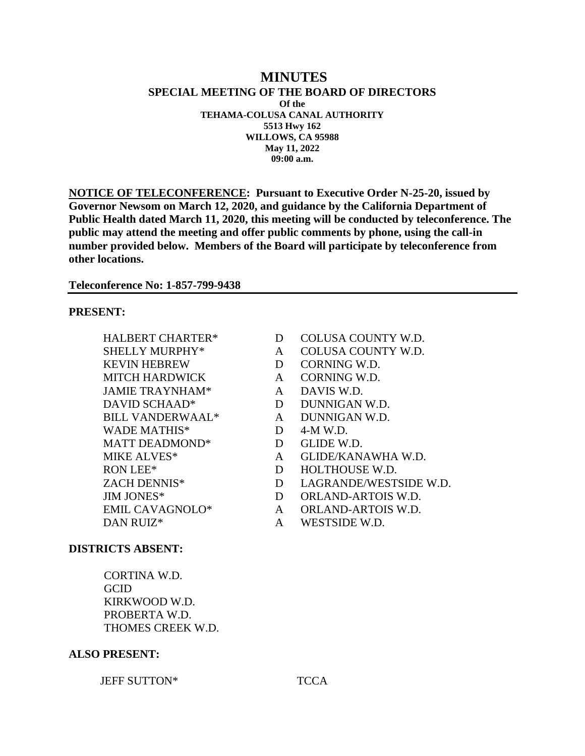### **MINUTES SPECIAL MEETING OF THE BOARD OF DIRECTORS Of the TEHAMA-COLUSA CANAL AUTHORITY 5513 Hwy 162 WILLOWS, CA 95988 May 11, 2022 09:00 a.m.**

**NOTICE OF TELECONFERENCE: Pursuant to Executive Order N-25-20, issued by Governor Newsom on March 12, 2020, and guidance by the California Department of Public Health dated March 11, 2020, this meeting will be conducted by teleconference. The public may attend the meeting and offer public comments by phone, using the call-in number provided below. Members of the Board will participate by teleconference from other locations.**

**Teleconference No: 1-857-799-9438**

## **PRESENT:**

- KEVIN HEBREW D CORNING W.D. MITCH HARDWICK A CORNING W.D. JAMIE TRAYNHAM<sup>\*</sup> A DAVIS W.D. DAVID SCHAAD\* D DUNNIGAN W.D. BILL VANDERWAAL\* A DUNNIGAN W.D. WADE MATHIS\* D 4-M W.D. MATT DEADMOND<sup>\*</sup> D GLIDE W.D.
- HALBERT CHARTER\* D COLUSA COUNTY W.D.
- SHELLY MURPHY\* A COLUSA COUNTY W.D.
	-
	-
	-
	-
	-
	-
	-
- MIKE ALVES\* A GLIDE/KANAWHA W.D.
- RON LEE\* D HOLTHOUSE W.D.
- ZACH DENNIS\* D LAGRANDE/WESTSIDE W.D.
- JIM JONES\* D ORLAND-ARTOIS W.D.
- EMIL CAVAGNOLO\* A ORLAND-ARTOIS W.D.
- DAN RUIZ<sup>\*</sup> A WESTSIDE W.D.

### **DISTRICTS ABSENT:**

CORTINA W.D. **GCID** KIRKWOOD W.D. PROBERTA W.D. THOMES CREEK W.D.

#### **ALSO PRESENT:**

#### JEFF SUTTON\* TCCA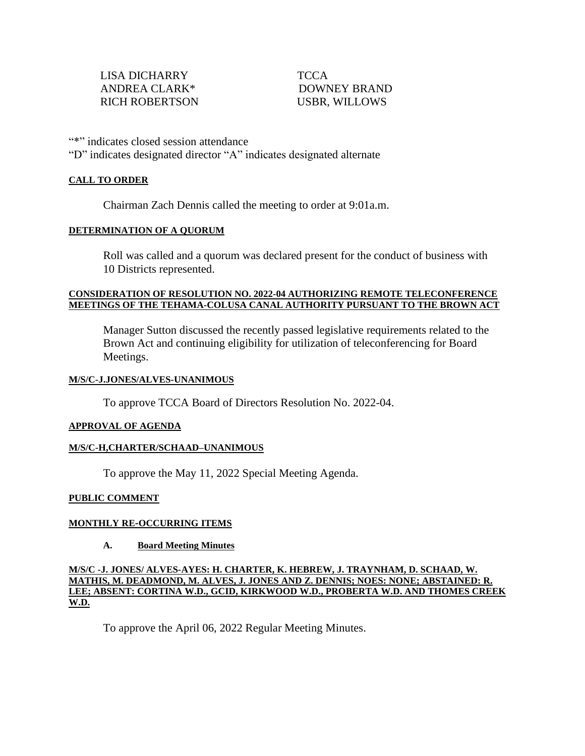"\*" indicates closed session attendance "D" indicates designated director "A" indicates designated alternate

### **CALL TO ORDER**

Chairman Zach Dennis called the meeting to order at 9:01a.m.

#### **DETERMINATION OF A QUORUM**

Roll was called and a quorum was declared present for the conduct of business with 10 Districts represented.

### **CONSIDERATION OF RESOLUTION NO. 2022-04 AUTHORIZING REMOTE TELECONFERENCE MEETINGS OF THE TEHAMA-COLUSA CANAL AUTHORITY PURSUANT TO THE BROWN ACT**

Manager Sutton discussed the recently passed legislative requirements related to the Brown Act and continuing eligibility for utilization of teleconferencing for Board Meetings.

### **M/S/C-J.JONES/ALVES-UNANIMOUS**

To approve TCCA Board of Directors Resolution No. 2022-04.

#### **APPROVAL OF AGENDA**

### **M/S/C-H,CHARTER/SCHAAD–UNANIMOUS**

To approve the May 11, 2022 Special Meeting Agenda.

### **PUBLIC COMMENT**

### **MONTHLY RE-OCCURRING ITEMS**

### **A. Board Meeting Minutes**

**M/S/C -J. JONES/ ALVES-AYES: H. CHARTER, K. HEBREW, J. TRAYNHAM, D. SCHAAD, W. MATHIS, M. DEADMOND, M. ALVES, J. JONES AND Z. DENNIS; NOES: NONE; ABSTAINED: R. LEE; ABSENT: CORTINA W.D., GCID, KIRKWOOD W.D., PROBERTA W.D. AND THOMES CREEK W.D.** 

To approve the April 06, 2022 Regular Meeting Minutes.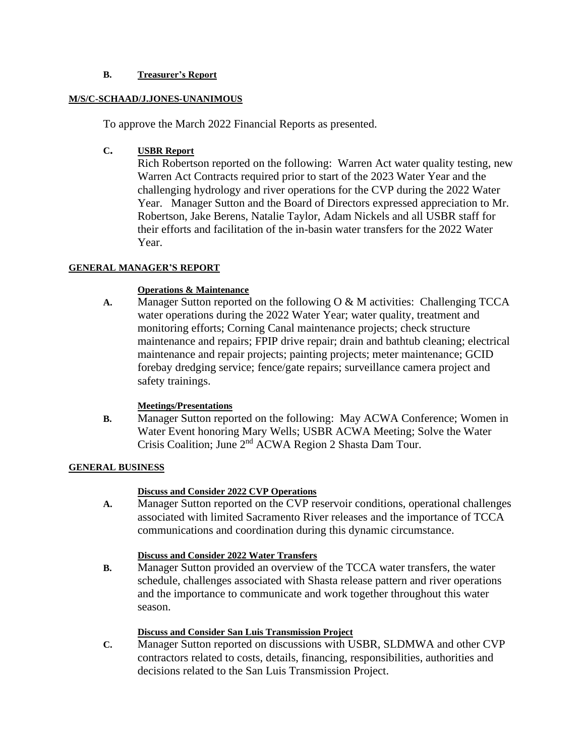## **B. Treasurer's Report**

## **M/S/C-SCHAAD/J.JONES-UNANIMOUS**

To approve the March 2022 Financial Reports as presented.

# **C. USBR Report**

Rich Robertson reported on the following: Warren Act water quality testing, new Warren Act Contracts required prior to start of the 2023 Water Year and the challenging hydrology and river operations for the CVP during the 2022 Water Year. Manager Sutton and the Board of Directors expressed appreciation to Mr. Robertson, Jake Berens, Natalie Taylor, Adam Nickels and all USBR staff for their efforts and facilitation of the in-basin water transfers for the 2022 Water Year.

# **GENERAL MANAGER'S REPORT**

# **Operations & Maintenance**

**A.** Manager Sutton reported on the following O & M activities: Challenging TCCA water operations during the 2022 Water Year; water quality, treatment and monitoring efforts; Corning Canal maintenance projects; check structure maintenance and repairs; FPIP drive repair; drain and bathtub cleaning; electrical maintenance and repair projects; painting projects; meter maintenance; GCID forebay dredging service; fence/gate repairs; surveillance camera project and safety trainings.

# **Meetings/Presentations**

**B.** Manager Sutton reported on the following: May ACWA Conference; Women in Water Event honoring Mary Wells; USBR ACWA Meeting; Solve the Water Crisis Coalition; June 2nd ACWA Region 2 Shasta Dam Tour.

# **GENERAL BUSINESS**

# **Discuss and Consider 2022 CVP Operations**

**A.** Manager Sutton reported on the CVP reservoir conditions, operational challenges associated with limited Sacramento River releases and the importance of TCCA communications and coordination during this dynamic circumstance.

# **Discuss and Consider 2022 Water Transfers**

**B.** Manager Sutton provided an overview of the TCCA water transfers, the water schedule, challenges associated with Shasta release pattern and river operations and the importance to communicate and work together throughout this water season.

# **Discuss and Consider San Luis Transmission Project**

**C.** Manager Sutton reported on discussions with USBR, SLDMWA and other CVP contractors related to costs, details, financing, responsibilities, authorities and decisions related to the San Luis Transmission Project.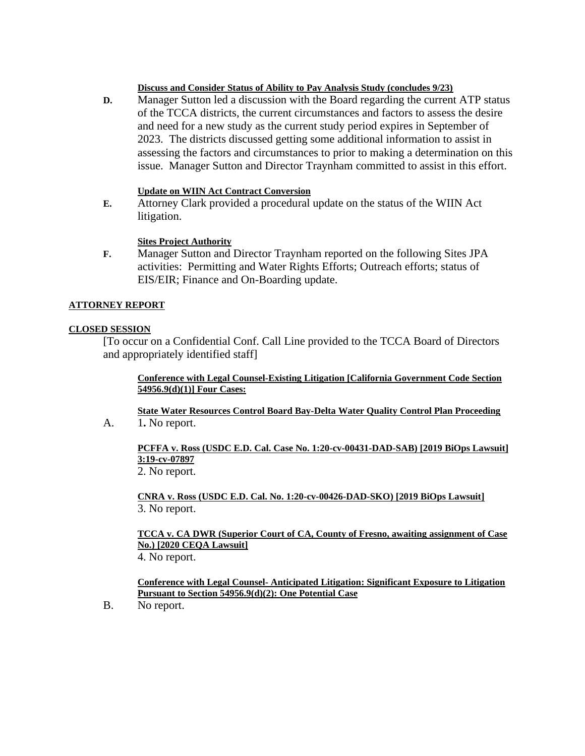### **Discuss and Consider Status of Ability to Pay Analysis Study (concludes 9/23)**

**D.** Manager Sutton led a discussion with the Board regarding the current ATP status of the TCCA districts, the current circumstances and factors to assess the desire and need for a new study as the current study period expires in September of 2023. The districts discussed getting some additional information to assist in assessing the factors and circumstances to prior to making a determination on this issue. Manager Sutton and Director Traynham committed to assist in this effort.

### **Update on WIIN Act Contract Conversion**

**E.** Attorney Clark provided a procedural update on the status of the WIIN Act litigation.

### **Sites Project Authority**

**F.** Manager Sutton and Director Traynham reported on the following Sites JPA activities: Permitting and Water Rights Efforts; Outreach efforts; status of EIS/EIR; Finance and On-Boarding update.

#### **ATTORNEY REPORT**

#### **CLOSED SESSION**

[To occur on a Confidential Conf. Call Line provided to the TCCA Board of Directors and appropriately identified staff]

### **Conference with Legal Counsel-Existing Litigation [California Government Code Section 54956.9(d)(1)] Four Cases:**

**State Water Resources Control Board Bay-Delta Water Quality Control Plan Proceeding**

A. 1**.** No report.

**PCFFA v. Ross (USDC E.D. Cal. Case No. 1:20-cv-00431-DAD-SAB) [2019 BiOps Lawsuit] 3:19-cv-07897**

2. No report.

**CNRA v. Ross (USDC E.D. Cal. No. 1:20-cv-00426-DAD-SKO) [2019 BiOps Lawsuit]** 3. No report.

#### **TCCA v. CA DWR (Superior Court of CA, County of Fresno, awaiting assignment of Case No.) [2020 CEQA Lawsuit]** 4. No report.

**Conference with Legal Counsel- Anticipated Litigation: Significant Exposure to Litigation Pursuant to Section 54956.9(d)(2): One Potential Case**

B. No report.